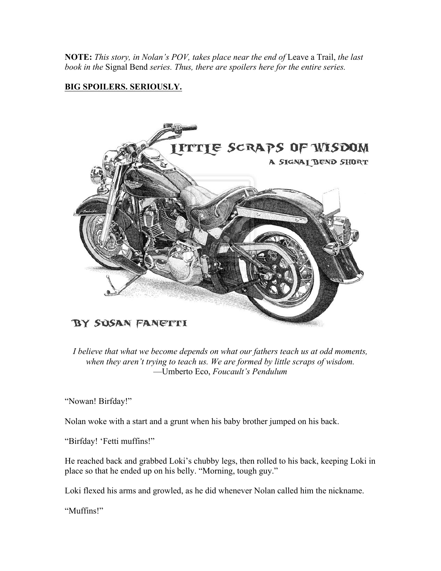**NOTE:** *This story, in Nolan's POV, takes place near the end of* Leave a Trail, *the last book in the* Signal Bend *series. Thus, there are spoilers here for the entire series.*

## **BIG SPOILERS. SERIOUSLY.**



*I believe that what we become depends on what our fathers teach us at odd moments, when they aren't trying to teach us. We are formed by little scraps of wisdom.* —Umberto Eco, *Foucault's Pendulum*

"Nowan! Birfday!"

Nolan woke with a start and a grunt when his baby brother jumped on his back.

"Birfday! 'Fetti muffins!"

He reached back and grabbed Loki's chubby legs, then rolled to his back, keeping Loki in place so that he ended up on his belly. "Morning, tough guy."

Loki flexed his arms and growled, as he did whenever Nolan called him the nickname.

"Muffins!"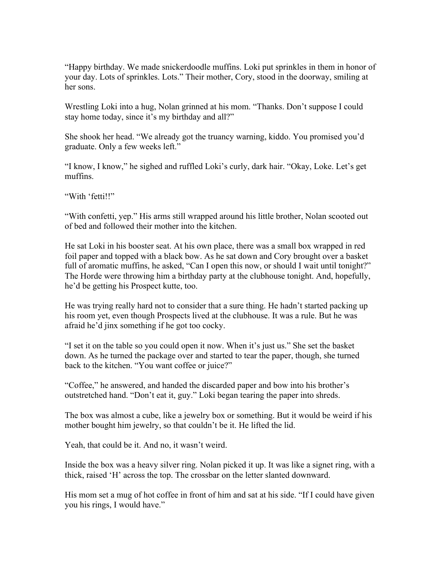"Happy birthday. We made snickerdoodle muffins. Loki put sprinkles in them in honor of your day. Lots of sprinkles. Lots." Their mother, Cory, stood in the doorway, smiling at her sons.

Wrestling Loki into a hug, Nolan grinned at his mom. "Thanks. Don't suppose I could stay home today, since it's my birthday and all?"

She shook her head. "We already got the truancy warning, kiddo. You promised you'd graduate. Only a few weeks left."

"I know, I know," he sighed and ruffled Loki's curly, dark hair. "Okay, Loke. Let's get muffins.

"With 'fetti!!"

"With confetti, yep." His arms still wrapped around his little brother, Nolan scooted out of bed and followed their mother into the kitchen.

He sat Loki in his booster seat. At his own place, there was a small box wrapped in red foil paper and topped with a black bow. As he sat down and Cory brought over a basket full of aromatic muffins, he asked, "Can I open this now, or should I wait until tonight?" The Horde were throwing him a birthday party at the clubhouse tonight. And, hopefully, he'd be getting his Prospect kutte, too.

He was trying really hard not to consider that a sure thing. He hadn't started packing up his room yet, even though Prospects lived at the clubhouse. It was a rule. But he was afraid he'd jinx something if he got too cocky.

"I set it on the table so you could open it now. When it's just us." She set the basket down. As he turned the package over and started to tear the paper, though, she turned back to the kitchen. "You want coffee or juice?"

"Coffee," he answered, and handed the discarded paper and bow into his brother's outstretched hand. "Don't eat it, guy." Loki began tearing the paper into shreds.

The box was almost a cube, like a jewelry box or something. But it would be weird if his mother bought him jewelry, so that couldn't be it. He lifted the lid.

Yeah, that could be it. And no, it wasn't weird.

Inside the box was a heavy silver ring. Nolan picked it up. It was like a signet ring, with a thick, raised 'H' across the top. The crossbar on the letter slanted downward.

His mom set a mug of hot coffee in front of him and sat at his side. "If I could have given you his rings, I would have."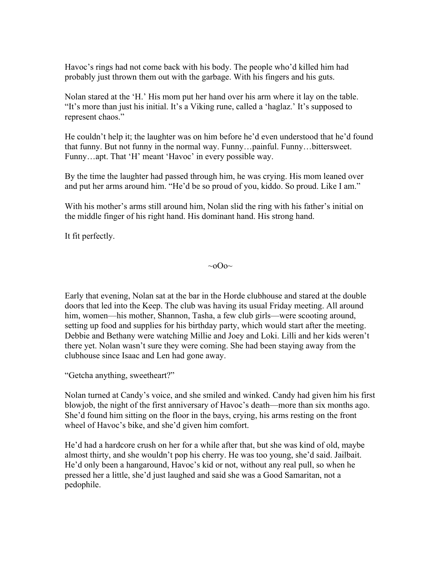Havoc's rings had not come back with his body. The people who'd killed him had probably just thrown them out with the garbage. With his fingers and his guts.

Nolan stared at the 'H.' His mom put her hand over his arm where it lay on the table. "It's more than just his initial. It's a Viking rune, called a 'haglaz.' It's supposed to represent chaos."

He couldn't help it; the laughter was on him before he'd even understood that he'd found that funny. But not funny in the normal way. Funny…painful. Funny…bittersweet. Funny…apt. That 'H' meant 'Havoc' in every possible way.

By the time the laughter had passed through him, he was crying. His mom leaned over and put her arms around him. "He'd be so proud of you, kiddo. So proud. Like I am."

With his mother's arms still around him, Nolan slid the ring with his father's initial on the middle finger of his right hand. His dominant hand. His strong hand.

It fit perfectly.

 $\sim 000$ ~

Early that evening, Nolan sat at the bar in the Horde clubhouse and stared at the double doors that led into the Keep. The club was having its usual Friday meeting. All around him, women—his mother, Shannon, Tasha, a few club girls—were scooting around, setting up food and supplies for his birthday party, which would start after the meeting. Debbie and Bethany were watching Millie and Joey and Loki. Lilli and her kids weren't there yet. Nolan wasn't sure they were coming. She had been staying away from the clubhouse since Isaac and Len had gone away.

"Getcha anything, sweetheart?"

Nolan turned at Candy's voice, and she smiled and winked. Candy had given him his first blowjob, the night of the first anniversary of Havoc's death—more than six months ago. She'd found him sitting on the floor in the bays, crying, his arms resting on the front wheel of Havoc's bike, and she'd given him comfort.

He'd had a hardcore crush on her for a while after that, but she was kind of old, maybe almost thirty, and she wouldn't pop his cherry. He was too young, she'd said. Jailbait. He'd only been a hangaround, Havoc's kid or not, without any real pull, so when he pressed her a little, she'd just laughed and said she was a Good Samaritan, not a pedophile.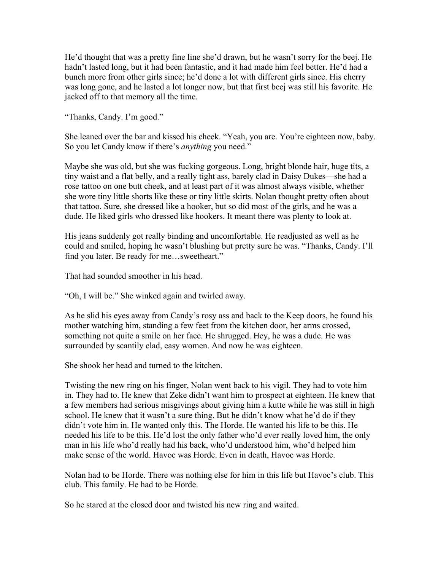He'd thought that was a pretty fine line she'd drawn, but he wasn't sorry for the beej. He hadn't lasted long, but it had been fantastic, and it had made him feel better. He'd had a bunch more from other girls since; he'd done a lot with different girls since. His cherry was long gone, and he lasted a lot longer now, but that first beej was still his favorite. He jacked off to that memory all the time.

"Thanks, Candy. I'm good."

She leaned over the bar and kissed his cheek. "Yeah, you are. You're eighteen now, baby. So you let Candy know if there's *anything* you need."

Maybe she was old, but she was fucking gorgeous. Long, bright blonde hair, huge tits, a tiny waist and a flat belly, and a really tight ass, barely clad in Daisy Dukes—she had a rose tattoo on one butt cheek, and at least part of it was almost always visible, whether she wore tiny little shorts like these or tiny little skirts. Nolan thought pretty often about that tattoo. Sure, she dressed like a hooker, but so did most of the girls, and he was a dude. He liked girls who dressed like hookers. It meant there was plenty to look at.

His jeans suddenly got really binding and uncomfortable. He readjusted as well as he could and smiled, hoping he wasn't blushing but pretty sure he was. "Thanks, Candy. I'll find you later. Be ready for me…sweetheart."

That had sounded smoother in his head.

"Oh, I will be." She winked again and twirled away.

As he slid his eyes away from Candy's rosy ass and back to the Keep doors, he found his mother watching him, standing a few feet from the kitchen door, her arms crossed, something not quite a smile on her face. He shrugged. Hey, he was a dude. He was surrounded by scantily clad, easy women. And now he was eighteen.

She shook her head and turned to the kitchen.

Twisting the new ring on his finger, Nolan went back to his vigil. They had to vote him in. They had to. He knew that Zeke didn't want him to prospect at eighteen. He knew that a few members had serious misgivings about giving him a kutte while he was still in high school. He knew that it wasn't a sure thing. But he didn't know what he'd do if they didn't vote him in. He wanted only this. The Horde. He wanted his life to be this. He needed his life to be this. He'd lost the only father who'd ever really loved him, the only man in his life who'd really had his back, who'd understood him, who'd helped him make sense of the world. Havoc was Horde. Even in death, Havoc was Horde.

Nolan had to be Horde. There was nothing else for him in this life but Havoc's club. This club. This family. He had to be Horde.

So he stared at the closed door and twisted his new ring and waited.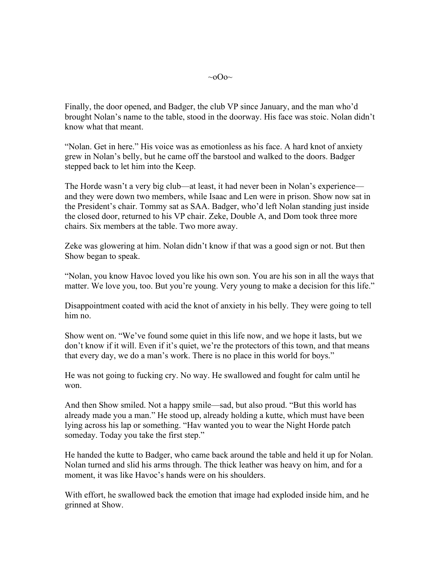Finally, the door opened, and Badger, the club VP since January, and the man who'd brought Nolan's name to the table, stood in the doorway. His face was stoic. Nolan didn't know what that meant.

"Nolan. Get in here." His voice was as emotionless as his face. A hard knot of anxiety grew in Nolan's belly, but he came off the barstool and walked to the doors. Badger stepped back to let him into the Keep.

The Horde wasn't a very big club—at least, it had never been in Nolan's experience and they were down two members, while Isaac and Len were in prison. Show now sat in the President's chair. Tommy sat as SAA. Badger, who'd left Nolan standing just inside the closed door, returned to his VP chair. Zeke, Double A, and Dom took three more chairs. Six members at the table. Two more away.

Zeke was glowering at him. Nolan didn't know if that was a good sign or not. But then Show began to speak.

"Nolan, you know Havoc loved you like his own son. You are his son in all the ways that matter. We love you, too. But you're young. Very young to make a decision for this life."

Disappointment coated with acid the knot of anxiety in his belly. They were going to tell him no.

Show went on. "We've found some quiet in this life now, and we hope it lasts, but we don't know if it will. Even if it's quiet, we're the protectors of this town, and that means that every day, we do a man's work. There is no place in this world for boys."

He was not going to fucking cry. No way. He swallowed and fought for calm until he won.

And then Show smiled. Not a happy smile—sad, but also proud. "But this world has already made you a man." He stood up, already holding a kutte, which must have been lying across his lap or something. "Hav wanted you to wear the Night Horde patch someday. Today you take the first step."

He handed the kutte to Badger, who came back around the table and held it up for Nolan. Nolan turned and slid his arms through. The thick leather was heavy on him, and for a moment, it was like Havoc's hands were on his shoulders.

With effort, he swallowed back the emotion that image had exploded inside him, and he grinned at Show.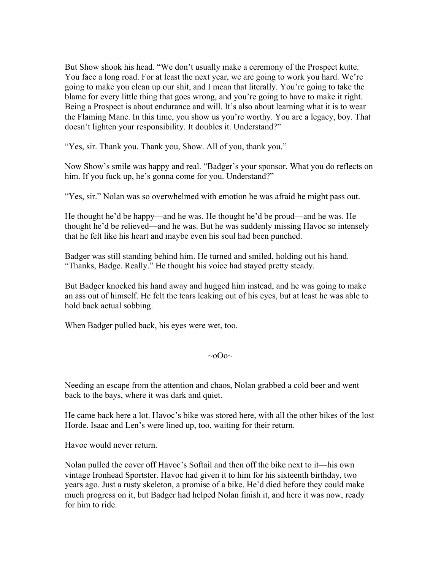But Show shook his head. "We don't usually make a ceremony of the Prospect kutte. You face a long road. For at least the next year, we are going to work you hard. We're going to make you clean up our shit, and I mean that literally. You're going to take the blame for every little thing that goes wrong, and you're going to have to make it right. Being a Prospect is about endurance and will. It's also about learning what it is to wear the Flaming Mane. In this time, you show us you're worthy. You are a legacy, boy. That doesn't lighten your responsibility. It doubles it. Understand?"

"Yes, sir. Thank you. Thank you, Show. All of you, thank you."

Now Show's smile was happy and real. "Badger's your sponsor. What you do reflects on him. If you fuck up, he's gonna come for you. Understand?"

"Yes, sir." Nolan was so overwhelmed with emotion he was afraid he might pass out.

He thought he'd be happy—and he was. He thought he'd be proud—and he was. He thought he'd be relieved—and he was. But he was suddenly missing Havoc so intensely that he felt like his heart and maybe even his soul had been punched.

Badger was still standing behind him. He turned and smiled, holding out his hand. "Thanks, Badge. Really." He thought his voice had stayed pretty steady.

But Badger knocked his hand away and hugged him instead, and he was going to make an ass out of himself. He felt the tears leaking out of his eyes, but at least he was able to hold back actual sobbing.

When Badger pulled back, his eyes were wet, too.

 $\sim 000$ ~

Needing an escape from the attention and chaos, Nolan grabbed a cold beer and went back to the bays, where it was dark and quiet.

He came back here a lot. Havoc's bike was stored here, with all the other bikes of the lost Horde. Isaac and Len's were lined up, too, waiting for their return.

Havoc would never return.

Nolan pulled the cover off Havoc's Softail and then off the bike next to it—his own vintage Ironhead Sportster. Havoc had given it to him for his sixteenth birthday, two years ago. Just a rusty skeleton, a promise of a bike. He'd died before they could make much progress on it, but Badger had helped Nolan finish it, and here it was now, ready for him to ride.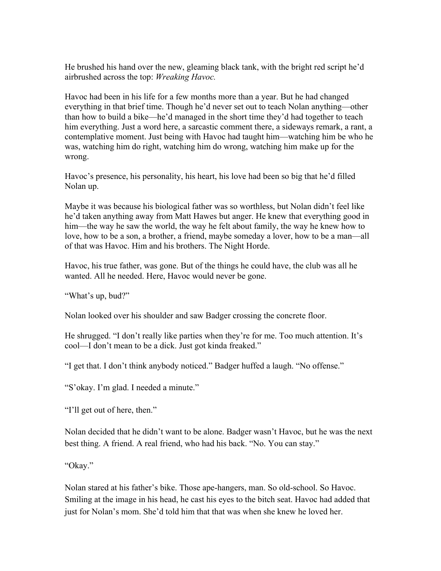He brushed his hand over the new, gleaming black tank, with the bright red script he'd airbrushed across the top: *Wreaking Havoc.*

Havoc had been in his life for a few months more than a year. But he had changed everything in that brief time. Though he'd never set out to teach Nolan anything—other than how to build a bike—he'd managed in the short time they'd had together to teach him everything. Just a word here, a sarcastic comment there, a sideways remark, a rant, a contemplative moment. Just being with Havoc had taught him—watching him be who he was, watching him do right, watching him do wrong, watching him make up for the wrong.

Havoc's presence, his personality, his heart, his love had been so big that he'd filled Nolan up.

Maybe it was because his biological father was so worthless, but Nolan didn't feel like he'd taken anything away from Matt Hawes but anger. He knew that everything good in him—the way he saw the world, the way he felt about family, the way he knew how to love, how to be a son, a brother, a friend, maybe someday a lover, how to be a man—all of that was Havoc. Him and his brothers. The Night Horde.

Havoc, his true father, was gone. But of the things he could have, the club was all he wanted. All he needed. Here, Havoc would never be gone.

"What's up, bud?"

Nolan looked over his shoulder and saw Badger crossing the concrete floor.

He shrugged. "I don't really like parties when they're for me. Too much attention. It's cool—I don't mean to be a dick. Just got kinda freaked."

"I get that. I don't think anybody noticed." Badger huffed a laugh. "No offense."

"S'okay. I'm glad. I needed a minute."

"I'll get out of here, then."

Nolan decided that he didn't want to be alone. Badger wasn't Havoc, but he was the next best thing. A friend. A real friend, who had his back. "No. You can stay."

"Okay."

Nolan stared at his father's bike. Those ape-hangers, man. So old-school. So Havoc. Smiling at the image in his head, he cast his eyes to the bitch seat. Havoc had added that just for Nolan's mom. She'd told him that that was when she knew he loved her.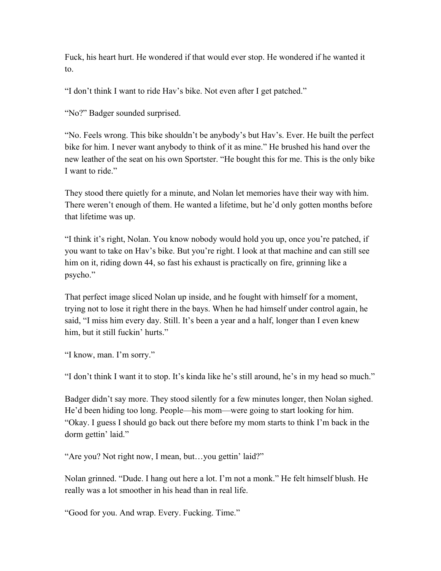Fuck, his heart hurt. He wondered if that would ever stop. He wondered if he wanted it to.

"I don't think I want to ride Hav's bike. Not even after I get patched."

"No?" Badger sounded surprised.

"No. Feels wrong. This bike shouldn't be anybody's but Hav's. Ever. He built the perfect bike for him. I never want anybody to think of it as mine." He brushed his hand over the new leather of the seat on his own Sportster. "He bought this for me. This is the only bike I want to ride."

They stood there quietly for a minute, and Nolan let memories have their way with him. There weren't enough of them. He wanted a lifetime, but he'd only gotten months before that lifetime was up.

"I think it's right, Nolan. You know nobody would hold you up, once you're patched, if you want to take on Hav's bike. But you're right. I look at that machine and can still see him on it, riding down 44, so fast his exhaust is practically on fire, grinning like a psycho."

That perfect image sliced Nolan up inside, and he fought with himself for a moment, trying not to lose it right there in the bays. When he had himself under control again, he said, "I miss him every day. Still. It's been a year and a half, longer than I even knew him, but it still fuckin' hurts."

"I know, man. I'm sorry."

"I don't think I want it to stop. It's kinda like he's still around, he's in my head so much."

Badger didn't say more. They stood silently for a few minutes longer, then Nolan sighed. He'd been hiding too long. People—his mom—were going to start looking for him. "Okay. I guess I should go back out there before my mom starts to think I'm back in the dorm gettin' laid."

"Are you? Not right now, I mean, but…you gettin' laid?"

Nolan grinned. "Dude. I hang out here a lot. I'm not a monk." He felt himself blush. He really was a lot smoother in his head than in real life.

"Good for you. And wrap. Every. Fucking. Time."